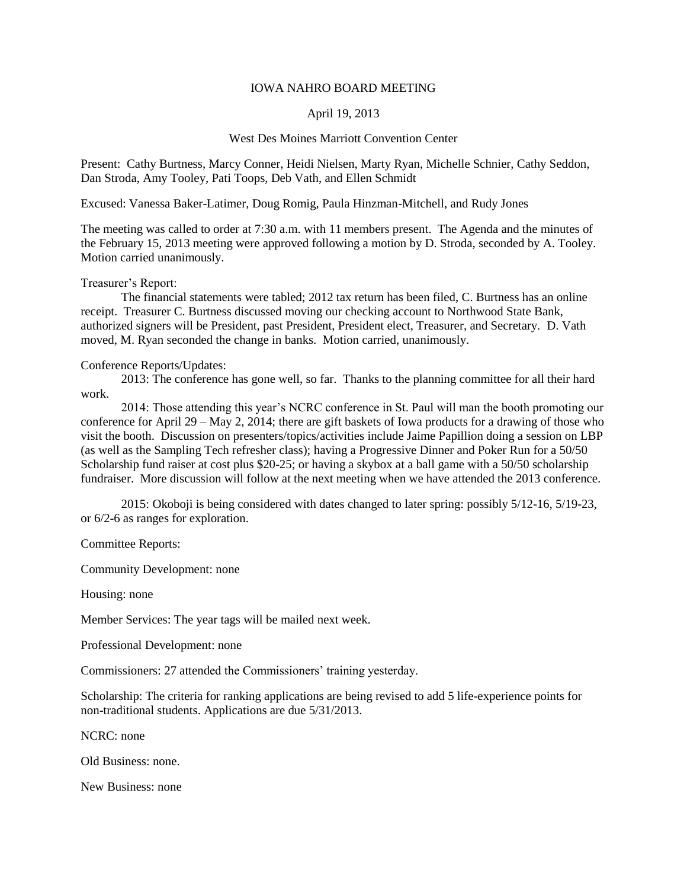## IOWA NAHRO BOARD MEETING

## April 19, 2013

## West Des Moines Marriott Convention Center

Present: Cathy Burtness, Marcy Conner, Heidi Nielsen, Marty Ryan, Michelle Schnier, Cathy Seddon, Dan Stroda, Amy Tooley, Pati Toops, Deb Vath, and Ellen Schmidt

Excused: Vanessa Baker-Latimer, Doug Romig, Paula Hinzman-Mitchell, and Rudy Jones

The meeting was called to order at 7:30 a.m. with 11 members present. The Agenda and the minutes of the February 15, 2013 meeting were approved following a motion by D. Stroda, seconded by A. Tooley. Motion carried unanimously.

Treasurer's Report:

The financial statements were tabled; 2012 tax return has been filed, C. Burtness has an online receipt. Treasurer C. Burtness discussed moving our checking account to Northwood State Bank, authorized signers will be President, past President, President elect, Treasurer, and Secretary. D. Vath moved, M. Ryan seconded the change in banks. Motion carried, unanimously.

## Conference Reports/Updates:

2013: The conference has gone well, so far. Thanks to the planning committee for all their hard work.

2014: Those attending this year's NCRC conference in St. Paul will man the booth promoting our conference for April 29 – May 2, 2014; there are gift baskets of Iowa products for a drawing of those who visit the booth. Discussion on presenters/topics/activities include Jaime Papillion doing a session on LBP (as well as the Sampling Tech refresher class); having a Progressive Dinner and Poker Run for a 50/50 Scholarship fund raiser at cost plus \$20-25; or having a skybox at a ball game with a 50/50 scholarship fundraiser. More discussion will follow at the next meeting when we have attended the 2013 conference.

2015: Okoboji is being considered with dates changed to later spring: possibly 5/12-16, 5/19-23, or 6/2-6 as ranges for exploration.

Committee Reports:

Community Development: none

Housing: none

Member Services: The year tags will be mailed next week.

Professional Development: none

Commissioners: 27 attended the Commissioners' training yesterday.

Scholarship: The criteria for ranking applications are being revised to add 5 life-experience points for non-traditional students. Applications are due 5/31/2013.

NCRC: none

Old Business: none.

New Business: none